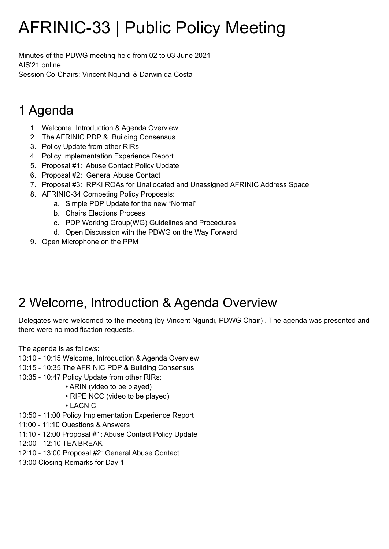# AFRINIC-33 | Public Policy Meeting

Minutes of the PDWG meeting held from 02 to 03 June 2021 AIS'21 online Session Co-Chairs: Vincent Ngundi & Darwin da Costa

## 1 Agenda

- 1. Welcome, Introduction & Agenda Overview
- 2. The AFRINIC PDP & Building Consensus
- 3. Policy Update from other RIRs
- 4. Policy Implementation Experience Report
- 5. Proposal #1: Abuse Contact Policy Update
- 6. Proposal #2: General Abuse Contact
- 7. Proposal #3: RPKI ROAs for Unallocated and Unassigned AFRINIC Address Space
- 8. AFRINIC-34 Competing Policy Proposals:
	- a. Simple PDP Update for the new "Normal"
	- b. Chairs Elections Process
	- c. PDP Working Group(WG) Guidelines and Procedures
	- d. Open Discussion with the PDWG on the Way Forward
- 9. Open Microphone on the PPM

## 2 Welcome, Introduction & Agenda Overview

Delegates were welcomed to the meeting (by Vincent Ngundi, PDWG Chair) . The agenda was presented and there were no modification requests.

The agenda is as follows:

10:10 - 10:15 Welcome, Introduction & Agenda Overview

- 10:15 10:35 The AFRINIC PDP & Building Consensus
- 10:35 10:47 Policy Update from other RIRs:
- ARIN (video to be played)
	- RIPE NCC (video to be played)
	- LACNIC
- 10:50 11:00 Policy Implementation Experience Report
- 11:00 11:10 Questions & Answers
- 11:10 12:00 Proposal #1: Abuse Contact Policy Update
- 12:00 12:10 TEA BREAK
- 12:10 13:00 Proposal #2: General Abuse Contact
- 13:00 Closing Remarks for Day 1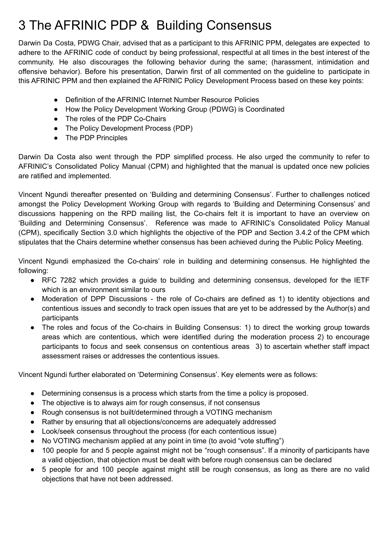## 3 The AFRINIC PDP & Building Consensus

Darwin Da Costa, PDWG Chair, advised that as a participant to this AFRINIC PPM, delegates are expected to adhere to the AFRINIC code of conduct by being professional, respectful at all times in the best interest of the community. He also discourages the following behavior during the same; (harassment, intimidation and offensive behavior). Before his presentation, Darwin first of all commented on the guideline to participate in this AFRINIC PPM and then explained the AFRINIC Policy Development Process based on these key points:

- Definition of the AFRINIC Internet Number Resource Policies
- How the Policy Development Working Group (PDWG) is Coordinated
- The roles of the PDP Co-Chairs
- The Policy Development Process (PDP)
- The PDP Principles

Darwin Da Costa also went through the PDP simplified process. He also urged the community to refer to AFRINIC's Consolidated Policy Manual (CPM) and highlighted that the manual is updated once new policies are ratified and implemented.

Vincent Ngundi thereafter presented on 'Building and determining Consensus'. Further to challenges noticed amongst the Policy Development Working Group with regards to 'Building and Determining Consensus' and discussions happening on the RPD mailing list, the Co-chairs felt it is important to have an overview on 'Building and Determining Consensus'. Reference was made to AFRINIC's Consolidated Policy Manual (CPM), specifically Section 3.0 which highlights the objective of the PDP and Section 3.4.2 of the CPM which stipulates that the Chairs determine whether consensus has been achieved during the Public Policy Meeting.

Vincent Ngundi emphasized the Co-chairs' role in building and determining consensus. He highlighted the following:

- RFC 7282 which provides a guide to building and determining consensus, developed for the IETF which is an environment similar to ours
- Moderation of DPP Discussions the role of Co-chairs are defined as 1) to identity objections and contentious issues and secondly to track open issues that are yet to be addressed by the Author(s) and participants
- The roles and focus of the Co-chairs in Building Consensus: 1) to direct the working group towards areas which are contentious, which were identified during the moderation process 2) to encourage participants to focus and seek consensus on contentious areas 3) to ascertain whether staff impact assessment raises or addresses the contentious issues.

Vincent Ngundi further elaborated on 'Determining Consensus'. Key elements were as follows:

- Determining consensus is a process which starts from the time a policy is proposed.
- The objective is to always aim for rough consensus, if not consensus
- Rough consensus is not built/determined through a VOTING mechanism
- Rather by ensuring that all objections/concerns are adequately addressed
- Look/seek consensus throughout the process (for each contentious issue)
- No VOTING mechanism applied at any point in time (to avoid "vote stuffing")
- 100 people for and 5 people against might not be "rough consensus". If a minority of participants have a valid objection, that objection must be dealt with before rough consensus can be declared
- 5 people for and 100 people against might still be rough consensus, as long as there are no valid objections that have not been addressed.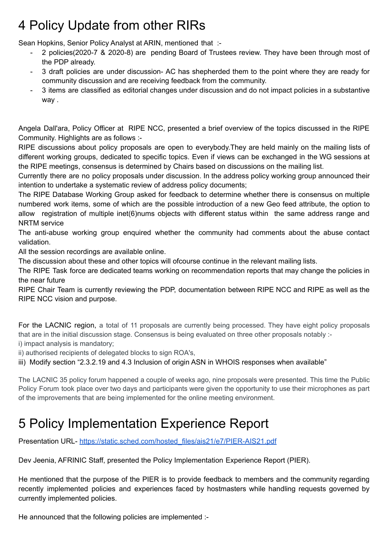## 4 Policy Update from other RIRs

Sean Hopkins, Senior Policy Analyst at ARIN, mentioned that :-

- 2 policies(2020-7 & 2020-8) are pending Board of Trustees review. They have been through most of the PDP already.
- 3 draft policies are under discussion- AC has shepherded them to the point where they are ready for community discussion and are receiving feedback from the community.
- 3 items are classified as editorial changes under discussion and do not impact policies in a substantive way .

Angela Dall'ara, Policy Officer at RIPE NCC, presented a brief overview of the topics discussed in the RIPE Community. Highlights are as follows :-

RIPE discussions about policy proposals are open to everybody.They are held mainly on the mailing lists of different working groups, dedicated to specific topics. Even if views can be exchanged in the WG sessions at the RIPE meetings, consensus is determined by Chairs based on discussions on the mailing list.

Currently there are no policy proposals under discussion. In the address policy working group announced their intention to undertake a systematic review of address policy documents;

The RIPE Database Working Group asked for feedback to determine whether there is consensus on multiple numbered work items, some of which are the possible introduction of a new Geo feed attribute, the option to allow registration of multiple inet(6)nums objects with different status within the same address range and NRTM service

The anti-abuse working group enquired whether the community had comments about the abuse contact validation.

All the session recordings are available online.

The discussion about these and other topics will ofcourse continue in the relevant mailing lists.

The RIPE Task force are dedicated teams working on recommendation reports that may change the policies in the near future

RIPE Chair Team is currently reviewing the PDP, documentation between RIPE NCC and RIPE as well as the RIPE NCC vision and purpose.

For the LACNIC region, a total of 11 proposals are currently being processed. They have eight policy proposals that are in the initial discussion stage. Consensus is being evaluated on three other proposals notably : i) impact analysis is mandatory;

ii) authorised recipients of delegated blocks to sign ROA's,

iii) Modify section "2.3.2.19 and 4.3 Inclusion of origin ASN in WHOIS responses when available"

The LACNIC 35 policy forum happened a couple of weeks ago, nine proposals were presented. This time the Public Policy Forum took place over two days and participants were given the opportunity to use their microphones as part of the improvements that are being implemented for the online meeting environment.

## 5 Policy Implementation Experience Report

Presentation URL- [https://static.sched.com/hosted\\_files/ais21/e7/PIER-AIS21.pdf](https://static.sched.com/hosted_files/ais21/e7/PIER-AIS21.pdf)

Dev Jeenia, AFRINIC Staff, presented the Policy Implementation Experience Report (PIER).

He mentioned that the purpose of the PIER is to provide feedback to members and the community regarding recently implemented policies and experiences faced by hostmasters while handling requests governed by currently implemented policies.

He announced that the following policies are implemented :-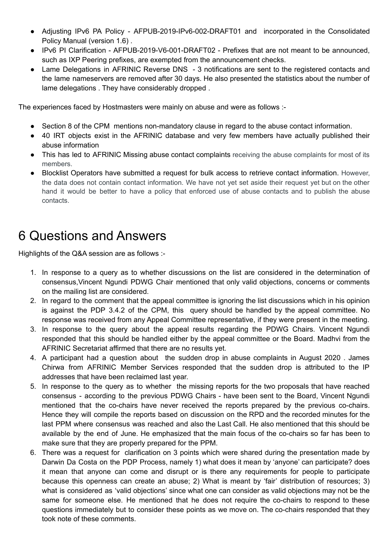- Adjusting IPv6 PA Policy AFPUB-2019-IPv6-002-DRAFT01 and incorporated in the Consolidated Policy Manual (version 1.6) .
- IPv6 PI Clarification AFPUB-2019-V6-001-DRAFT02 Prefixes that are not meant to be announced, such as IXP Peering prefixes, are exempted from the announcement checks.
- Lame Delegations in AFRINIC Reverse DNS 3 notifications are sent to the registered contacts and the lame nameservers are removed after 30 days. He also presented the statistics about the number of lame delegations . They have considerably dropped .

The experiences faced by Hostmasters were mainly on abuse and were as follows :-

- Section 8 of the CPM mentions non-mandatory clause in regard to the abuse contact information.
- 40 IRT objects exist in the AFRINIC database and very few members have actually published their abuse information
- This has led to AFRINIC Missing abuse contact complaints receiving the abuse complaints for most of its members.
- Blocklist Operators have submitted a request for bulk access to retrieve contact information. However, the data does not contain contact information. We have not yet set aside their request yet but on the other hand it would be better to have a policy that enforced use of abuse contacts and to publish the abuse contacts.

### 6 Questions and Answers

Highlights of the Q&A session are as follows :-

- 1. In response to a query as to whether discussions on the list are considered in the determination of consensus,Vincent Ngundi PDWG Chair mentioned that only valid objections, concerns or comments on the mailing list are considered.
- 2. In regard to the comment that the appeal committee is ignoring the list discussions which in his opinion is against the PDP 3.4.2 of the CPM, this query should be handled by the appeal committee. No response was received from any Appeal Committee representative, if they were present in the meeting.
- 3. In response to the query about the appeal results regarding the PDWG Chairs. Vincent Ngundi responded that this should be handled either by the appeal committee or the Board. Madhvi from the AFRINIC Secretariat affirmed that there are no results yet.
- 4. A participant had a question about the sudden drop in abuse complaints in August 2020 . James Chirwa from AFRINIC Member Services responded that the sudden drop is attributed to the IP addresses that have been reclaimed last year.
- 5. In response to the query as to whether the missing reports for the two proposals that have reached consensus - according to the previous PDWG Chairs - have been sent to the Board, Vincent Ngundi mentioned that the co-chairs have never received the reports prepared by the previous co-chairs. Hence they will compile the reports based on discussion on the RPD and the recorded minutes for the last PPM where consensus was reached and also the Last Call. He also mentioned that this should be available by the end of June. He emphasized that the main focus of the co-chairs so far has been to make sure that they are properly prepared for the PPM.
- 6. There was a request for clarification on 3 points which were shared during the presentation made by Darwin Da Costa on the PDP Process, namely 1) what does it mean by 'anyone' can participate? does it mean that anyone can come and disrupt or is there any requirements for people to participate because this openness can create an abuse; 2) What is meant by 'fair' distribution of resources; 3) what is considered as 'valid objections' since what one can consider as valid objections may not be the same for someone else. He mentioned that he does not require the co-chairs to respond to these questions immediately but to consider these points as we move on. The co-chairs responded that they took note of these comments.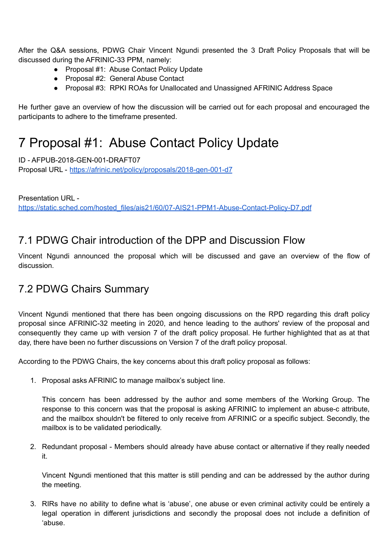After the Q&A sessions, PDWG Chair Vincent Ngundi presented the 3 Draft Policy Proposals that will be discussed during the AFRINIC-33 PPM, namely:

- Proposal #1: Abuse Contact Policy Update
- Proposal #2: General Abuse Contact
- Proposal #3: RPKI ROAs for Unallocated and Unassigned AFRINIC Address Space

He further gave an overview of how the discussion will be carried out for each proposal and encouraged the participants to adhere to the timeframe presented.

### 7 Proposal #1: Abuse Contact Policy Update

ID - AFPUB-2018-GEN-001-DRAFT07 Proposal URL - <https://afrinic.net/policy/proposals/2018-gen-001-d7>

Presentation URL [https://static.sched.com/hosted\\_files/ais21/60/07-AIS21-PPM1-Abuse-Contact-Policy-D7.pdf](https://static.sched.com/hosted_files/ais21/60/07-AIS21-PPM1-Abuse-Contact-Policy-D7.pdf)

### 7.1 PDWG Chair introduction of the DPP and Discussion Flow

Vincent Ngundi announced the proposal which will be discussed and gave an overview of the flow of discussion.

### 7.2 PDWG Chairs Summary

Vincent Ngundi mentioned that there has been ongoing discussions on the RPD regarding this draft policy proposal since AFRINIC-32 meeting in 2020, and hence leading to the authors' review of the proposal and consequently they came up with version 7 of the draft policy proposal. He further highlighted that as at that day, there have been no further discussions on Version 7 of the draft policy proposal.

According to the PDWG Chairs, the key concerns about this draft policy proposal as follows:

1. Proposal asks AFRINIC to manage mailbox's subject line.

This concern has been addressed by the author and some members of the Working Group. The response to this concern was that the proposal is asking AFRINIC to implement an abuse-c attribute, and the mailbox shouldn't be filtered to only receive from AFRINIC or a specific subject. Secondly, the mailbox is to be validated periodically.

2. Redundant proposal - Members should already have abuse contact or alternative if they really needed it.

Vincent Ngundi mentioned that this matter is still pending and can be addressed by the author during the meeting.

3. RIRs have no ability to define what is 'abuse', one abuse or even criminal activity could be entirely a legal operation in different jurisdictions and secondly the proposal does not include a definition of 'abuse.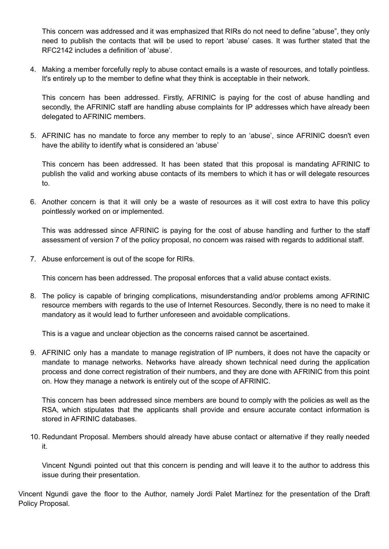This concern was addressed and it was emphasized that RIRs do not need to define "abuse", they only need to publish the contacts that will be used to report 'abuse' cases. It was further stated that the RFC2142 includes a definition of 'abuse'.

4. Making a member forcefully reply to abuse contact emails is a waste of resources, and totally pointless. It's entirely up to the member to define what they think is acceptable in their network.

This concern has been addressed. Firstly, AFRINIC is paying for the cost of abuse handling and secondly, the AFRINIC staff are handling abuse complaints for IP addresses which have already been delegated to AFRINIC members.

5. AFRINIC has no mandate to force any member to reply to an 'abuse', since AFRINIC doesn't even have the ability to identify what is considered an 'abuse'

This concern has been addressed. It has been stated that this proposal is mandating AFRINIC to publish the valid and working abuse contacts of its members to which it has or will delegate resources to.

6. Another concern is that it will only be a waste of resources as it will cost extra to have this policy pointlessly worked on or implemented.

This was addressed since AFRINIC is paying for the cost of abuse handling and further to the staff assessment of version 7 of the policy proposal, no concern was raised with regards to additional staff.

7. Abuse enforcement is out of the scope for RIRs.

This concern has been addressed. The proposal enforces that a valid abuse contact exists.

8. The policy is capable of bringing complications, misunderstanding and/or problems among AFRINIC resource members with regards to the use of Internet Resources. Secondly, there is no need to make it mandatory as it would lead to further unforeseen and avoidable complications.

This is a vague and unclear objection as the concerns raised cannot be ascertained.

9. AFRINIC only has a mandate to manage registration of IP numbers, it does not have the capacity or mandate to manage networks. Networks have already shown technical need during the application process and done correct registration of their numbers, and they are done with AFRINIC from this point on. How they manage a network is entirely out of the scope of AFRINIC.

This concern has been addressed since members are bound to comply with the policies as well as the RSA, which stipulates that the applicants shall provide and ensure accurate contact information is stored in AFRINIC databases.

10. Redundant Proposal. Members should already have abuse contact or alternative if they really needed it.

Vincent Ngundi pointed out that this concern is pending and will leave it to the author to address this issue during their presentation.

Vincent Ngundi gave the floor to the Author, namely Jordi Palet Martínez for the presentation of the Draft Policy Proposal.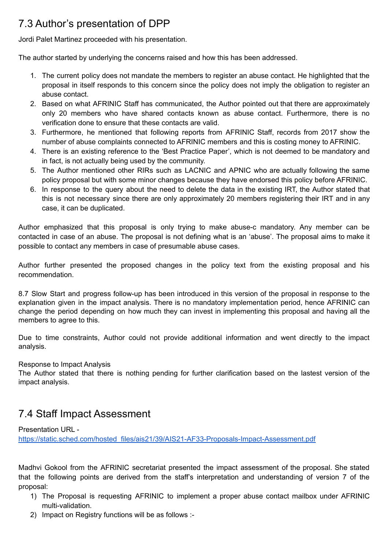### 7.3 Author's presentation of DPP

Jordi Palet Martinez proceeded with his presentation.

The author started by underlying the concerns raised and how this has been addressed.

- 1. The current policy does not mandate the members to register an abuse contact. He highlighted that the proposal in itself responds to this concern since the policy does not imply the obligation to register an abuse contact.
- 2. Based on what AFRINIC Staff has communicated, the Author pointed out that there are approximately only 20 members who have shared contacts known as abuse contact. Furthermore, there is no verification done to ensure that these contacts are valid.
- 3. Furthermore, he mentioned that following reports from AFRINIC Staff, records from 2017 show the number of abuse complaints connected to AFRINIC members and this is costing money to AFRINIC.
- 4. There is an existing reference to the 'Best Practice Paper', which is not deemed to be mandatory and in fact, is not actually being used by the community.
- 5. The Author mentioned other RIRs such as LACNIC and APNIC who are actually following the same policy proposal but with some minor changes because they have endorsed this policy before AFRINIC.
- 6. In response to the query about the need to delete the data in the existing IRT, the Author stated that this is not necessary since there are only approximately 20 members registering their IRT and in any case, it can be duplicated.

Author emphasized that this proposal is only trying to make abuse-c mandatory. Any member can be contacted in case of an abuse. The proposal is not defining what is an 'abuse'. The proposal aims to make it possible to contact any members in case of presumable abuse cases.

Author further presented the proposed changes in the policy text from the existing proposal and his recommendation.

8.7 Slow Start and progress follow-up has been introduced in this version of the proposal in response to the explanation given in the impact analysis. There is no mandatory implementation period, hence AFRINIC can change the period depending on how much they can invest in implementing this proposal and having all the members to agree to this.

Due to time constraints, Author could not provide additional information and went directly to the impact analysis.

#### Response to Impact Analysis

The Author stated that there is nothing pending for further clarification based on the lastest version of the impact analysis.

#### 7.4 Staff Impact Assessment

Presentation URL -

[https://static.sched.com/hosted\\_files/ais21/39/AIS21-AF33-Proposals-Impact-Assessment.pdf](https://static.sched.com/hosted_files/ais21/39/AIS21-AF33-Proposals-Impact-Assessment.pdf)

Madhvi Gokool from the AFRINIC secretariat presented the impact assessment of the proposal. She stated that the following points are derived from the staff's interpretation and understanding of version 7 of the proposal:

- 1) The Proposal is requesting AFRINIC to implement a proper abuse contact mailbox under AFRINIC multi-validation.
- 2) Impact on Registry functions will be as follows :-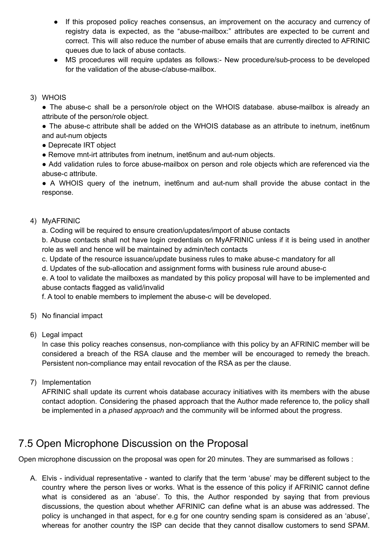- If this proposed policy reaches consensus, an improvement on the accuracy and currency of registry data is expected, as the "abuse-mailbox:" attributes are expected to be current and correct. This will also reduce the number of abuse emails that are currently directed to AFRINIC queues due to lack of abuse contacts.
- MS procedures will require updates as follows:- New procedure/sub-process to be developed for the validation of the abuse-c/abuse-mailbox.

#### 3) WHOIS

• The abuse-c shall be a person/role object on the WHOIS database. abuse-mailbox is already an attribute of the person/role object.

● The abuse-c attribute shall be added on the WHOIS database as an attribute to inetnum, inet6num and aut-num objects

- Deprecate IRT object
- Remove mnt-irt attributes from inetnum, inet6num and aut-num objects.

• Add validation rules to force abuse-mailbox on person and role objects which are referenced via the abuse-c attribute.

● A WHOIS query of the inetnum, inet6num and aut-num shall provide the abuse contact in the response.

#### 4) MyAFRINIC

a. Coding will be required to ensure creation/updates/import of abuse contacts

b. Abuse contacts shall not have login credentials on MyAFRINIC unless if it is being used in another role as well and hence will be maintained by admin/tech contacts

c. Update of the resource issuance/update business rules to make abuse-c mandatory for all

d. Updates of the sub-allocation and assignment forms with business rule around abuse-c

e. A tool to validate the mailboxes as mandated by this policy proposal will have to be implemented and abuse contacts flagged as valid/invalid

f. A tool to enable members to implement the abuse-c will be developed.

- 5) No financial impact
- 6) Legal impact

In case this policy reaches consensus, non-compliance with this policy by an AFRINIC member will be considered a breach of the RSA clause and the member will be encouraged to remedy the breach. Persistent non-compliance may entail revocation of the RSA as per the clause.

7) Implementation

AFRINIC shall update its current whois database accuracy initiatives with its members with the abuse contact adoption. Considering the phased approach that the Author made reference to, the policy shall be implemented in a *phased approach* and the community will be informed about the progress.

#### 7.5 Open Microphone Discussion on the Proposal

Open microphone discussion on the proposal was open for 20 minutes. They are summarised as follows :

A. Elvis - individual representative - wanted to clarify that the term 'abuse' may be different subject to the country where the person lives or works. What is the essence of this policy if AFRINIC cannot define what is considered as an 'abuse'. To this, the Author responded by saying that from previous discussions, the question about whether AFRINIC can define what is an abuse was addressed. The policy is unchanged in that aspect, for e.g for one country sending spam is considered as an 'abuse', whereas for another country the ISP can decide that they cannot disallow customers to send SPAM.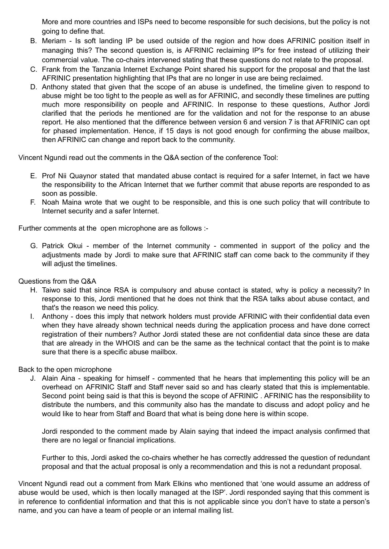More and more countries and ISPs need to become responsible for such decisions, but the policy is not going to define that.

- B. Meriam Is soft landing IP be used outside of the region and how does AFRINIC position itself in managing this? The second question is, is AFRINIC reclaiming IP's for free instead of utilizing their commercial value. The co-chairs intervened stating that these questions do not relate to the proposal.
- C. Frank from the Tanzania Internet Exchange Point shared his support for the proposal and that the last AFRINIC presentation highlighting that IPs that are no longer in use are being reclaimed.
- D. Anthony stated that given that the scope of an abuse is undefined, the timeline given to respond to abuse might be too tight to the people as well as for AFRINIC, and secondly these timelines are putting much more responsibility on people and AFRINIC. In response to these questions, Author Jordi clarified that the periods he mentioned are for the validation and not for the response to an abuse report. He also mentioned that the difference between version 6 and version 7 is that AFRINIC can opt for phased implementation. Hence, if 15 days is not good enough for confirming the abuse mailbox, then AFRINIC can change and report back to the community.

Vincent Ngundi read out the comments in the Q&A section of the conference Tool:

- E. Prof Nii Quaynor stated that mandated abuse contact is required for a safer Internet, in fact we have the responsibility to the African Internet that we further commit that abuse reports are responded to as soon as possible.
- F. Noah Maina wrote that we ought to be responsible, and this is one such policy that will contribute to Internet security and a safer Internet.

Further comments at the open microphone are as follows :-

G. Patrick Okui - member of the Internet community - commented in support of the policy and the adjustments made by Jordi to make sure that AFRINIC staff can come back to the community if they will adjust the timelines.

Questions from the Q&A

- H. Taiwo said that since RSA is compulsory and abuse contact is stated, why is policy a necessity? In response to this, Jordi mentioned that he does not think that the RSA talks about abuse contact, and that's the reason we need this policy.
- I. Anthony does this imply that network holders must provide AFRINIC with their confidential data even when they have already shown technical needs during the application process and have done correct registration of their numbers? Author Jordi stated these are not confidential data since these are data that are already in the WHOIS and can be the same as the technical contact that the point is to make sure that there is a specific abuse mailbox.

Back to the open microphone

J. Alain Aina - speaking for himself - commented that he hears that implementing this policy will be an overhead on AFRINIC Staff and Staff never said so and has clearly stated that this is implementable. Second point being said is that this is beyond the scope of AFRINIC . AFRINIC has the responsibility to distribute the numbers, and this community also has the mandate to discuss and adopt policy and he would like to hear from Staff and Board that what is being done here is within scope.

Jordi responded to the comment made by Alain saying that indeed the impact analysis confirmed that there are no legal or financial implications.

Further to this, Jordi asked the co-chairs whether he has correctly addressed the question of redundant proposal and that the actual proposal is only a recommendation and this is not a redundant proposal.

Vincent Ngundi read out a comment from Mark Elkins who mentioned that 'one would assume an address of abuse would be used, which is then locally managed at the ISP'. Jordi responded saying that this comment is in reference to confidential information and that this is not applicable since you don't have to state a person's name, and you can have a team of people or an internal mailing list.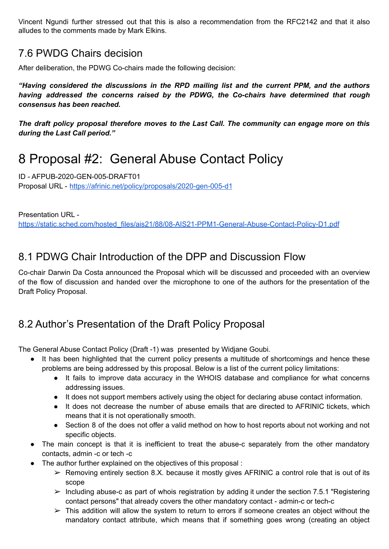Vincent Ngundi further stressed out that this is also a recommendation from the RFC2142 and that it also alludes to the comments made by Mark Elkins.

#### 7.6 PWDG Chairs decision

After deliberation, the PDWG Co-chairs made the following decision:

*"Having considered the discussions in the RPD mailing list and the current PPM, and the authors having addressed the concerns raised by the PDWG, the Co-chairs have determined that rough consensus has been reached.*

*The draft policy proposal therefore moves to the Last Call. The community can engage more on this during the Last Call period."*

### 8 Proposal #2: General Abuse Contact Policy

ID - AFPUB-2020-GEN-005-DRAFT01 Proposal URL - <https://afrinic.net/policy/proposals/2020-gen-005-d1>

Presentation URL [https://static.sched.com/hosted\\_files/ais21/88/08-AIS21-PPM1-General-Abuse-Contact-Policy-D1.pdf](https://static.sched.com/hosted_files/ais21/88/08-AIS21-PPM1-General-Abuse-Contact-Policy-D1.pdf)

#### 8.1 PDWG Chair Introduction of the DPP and Discussion Flow

Co-chair Darwin Da Costa announced the Proposal which will be discussed and proceeded with an overview of the flow of discussion and handed over the microphone to one of the authors for the presentation of the Draft Policy Proposal.

### 8.2 Author's Presentation of the Draft Policy Proposal

The General Abuse Contact Policy (Draft -1) was presented by Widjane Goubi.

- It has been highlighted that the current policy presents a multitude of shortcomings and hence these problems are being addressed by this proposal. Below is a list of the current policy limitations:
	- It fails to improve data accuracy in the WHOIS database and compliance for what concerns addressing issues.
	- It does not support members actively using the object for declaring abuse contact information.
	- It does not decrease the number of abuse emails that are directed to AFRINIC tickets, which means that it is not operationally smooth.
	- Section 8 of the does not offer a valid method on how to host reports about not working and not specific objects.
- The main concept is that it is inefficient to treat the abuse-c separately from the other mandatory contacts, admin -c or tech -c
- The author further explained on the objectives of this proposal :
	- $\triangleright$  Removing entirely section 8.X. because it mostly gives AFRINIC a control role that is out of its scope
	- $\triangleright$  Including abuse-c as part of whois registration by adding it under the section 7.5.1 "Registering contact persons" that already covers the other mandatory contact - admin-c or tech-c
	- $\triangleright$  This addition will allow the system to return to errors if someone creates an object without the mandatory contact attribute, which means that if something goes wrong (creating an object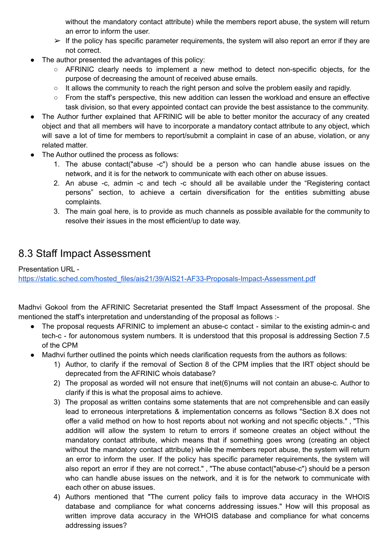without the mandatory contact attribute) while the members report abuse, the system will return an error to inform the user.

- $\triangleright$  If the policy has specific parameter requirements, the system will also report an error if they are not correct.
- The author presented the advantages of this policy:
	- AFRINIC clearly needs to implement a new method to detect non-specific objects, for the purpose of decreasing the amount of received abuse emails.
	- It allows the community to reach the right person and solve the problem easily and rapidly.
	- From the staff's perspective, this new addition can lessen the workload and ensure an effective task division, so that every appointed contact can provide the best assistance to the community.
- The Author further explained that AFRINIC will be able to better monitor the accuracy of any created object and that all members will have to incorporate a mandatory contact attribute to any object, which will save a lot of time for members to report/submit a complaint in case of an abuse, violation, or any related matter.
- The Author outlined the process as follows:
	- 1. The abuse contact("abuse -c") should be a person who can handle abuse issues on the network, and it is for the network to communicate with each other on abuse issues.
	- 2. An abuse -c, admin -c and tech -c should all be available under the "Registering contact persons" section, to achieve a certain diversification for the entities submitting abuse complaints.
	- 3. The main goal here, is to provide as much channels as possible available for the community to resolve their issues in the most efficient/up to date way.

#### 8.3 Staff Impact Assessment

Presentation URL [https://static.sched.com/hosted\\_files/ais21/39/AIS21-AF33-Proposals-Impact-Assessment.pdf](https://static.sched.com/hosted_files/ais21/39/AIS21-AF33-Proposals-Impact-Assessment.pdf)

Madhvi Gokool from the AFRINIC Secretariat presented the Staff Impact Assessment of the proposal. She mentioned the staff's interpretation and understanding of the proposal as follows :-

- The proposal requests AFRINIC to implement an abuse-c contact similar to the existing admin-c and tech-c - for autonomous system numbers. It is understood that this proposal is addressing Section 7.5 of the CPM
- Madhvi further outlined the points which needs clarification requests from the authors as follows:
	- 1) Author, to clarify if the removal of Section 8 of the CPM implies that the IRT object should be deprecated from the AFRINIC whois database?
	- 2) The proposal as worded will not ensure that inet(6)nums will not contain an abuse-c. Author to clarify if this is what the proposal aims to achieve.
	- 3) The proposal as written contains some statements that are not comprehensible and can easily lead to erroneous interpretations & implementation concerns as follows "Section 8.X does not offer a valid method on how to host reports about not working and not specific objects." , "This addition will allow the system to return to errors if someone creates an object without the mandatory contact attribute, which means that if something goes wrong (creating an object without the mandatory contact attribute) while the members report abuse, the system will return an error to inform the user. If the policy has specific parameter requirements, the system will also report an error if they are not correct." , "The abuse contact("abuse-c") should be a person who can handle abuse issues on the network, and it is for the network to communicate with each other on abuse issues.
	- 4) Authors mentioned that "The current policy fails to improve data accuracy in the WHOIS database and compliance for what concerns addressing issues." How will this proposal as written improve data accuracy in the WHOIS database and compliance for what concerns addressing issues?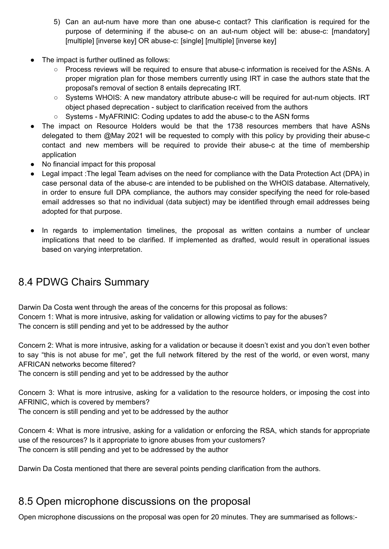- 5) Can an aut-num have more than one abuse-c contact? This clarification is required for the purpose of determining if the abuse-c on an aut-num object will be: abuse-c: [mandatory] [multiple] [inverse key] OR abuse-c: [single] [multiple] [inverse key]
- The impact is further outlined as follows:
	- Process reviews will be required to ensure that abuse-c information is received for the ASNs. A proper migration plan for those members currently using IRT in case the authors state that the proposal's removal of section 8 entails deprecating IRT.
	- Systems WHOIS: A new mandatory attribute abuse-c will be required for aut-num objects. IRT object phased deprecation - subject to clarification received from the authors
	- Systems MyAFRINIC: Coding updates to add the abuse-c to the ASN forms
- The impact on Resource Holders would be that the 1738 resources members that have ASNs delegated to them @May 2021 will be requested to comply with this policy by providing their abuse-c contact and new members will be required to provide their abuse-c at the time of membership application
- No financial impact for this proposal
- Legal impact :The legal Team advises on the need for compliance with the Data Protection Act (DPA) in case personal data of the abuse-c are intended to be published on the WHOIS database. Alternatively, in order to ensure full DPA compliance, the authors may consider specifying the need for role-based email addresses so that no individual (data subject) may be identified through email addresses being adopted for that purpose.
- In regards to implementation timelines, the proposal as written contains a number of unclear implications that need to be clarified. If implemented as drafted, would result in operational issues based on varying interpretation.

#### 8.4 PDWG Chairs Summary

Darwin Da Costa went through the areas of the concerns for this proposal as follows: Concern 1: What is more intrusive, asking for validation or allowing victims to pay for the abuses? The concern is still pending and yet to be addressed by the author

Concern 2: What is more intrusive, asking for a validation or because it doesn't exist and you don't even bother to say "this is not abuse for me", get the full network filtered by the rest of the world, or even worst, many AFRICAN networks become filtered?

The concern is still pending and yet to be addressed by the author

Concern 3: What is more intrusive, asking for a validation to the resource holders, or imposing the cost into AFRINIC, which is covered by members?

The concern is still pending and yet to be addressed by the author

Concern 4: What is more intrusive, asking for a validation or enforcing the RSA, which stands for appropriate use of the resources? Is it appropriate to ignore abuses from your customers? The concern is still pending and yet to be addressed by the author

Darwin Da Costa mentioned that there are several points pending clarification from the authors.

#### 8.5 Open microphone discussions on the proposal

Open microphone discussions on the proposal was open for 20 minutes. They are summarised as follows:-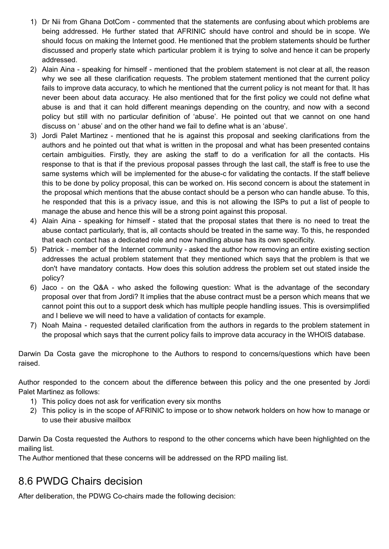- 1) Dr Nii from Ghana DotCom commented that the statements are confusing about which problems are being addressed. He further stated that AFRINIC should have control and should be in scope. We should focus on making the Internet good. He mentioned that the problem statements should be further discussed and properly state which particular problem it is trying to solve and hence it can be properly addressed.
- 2) Alain Aina speaking for himself mentioned that the problem statement is not clear at all, the reason why we see all these clarification requests. The problem statement mentioned that the current policy fails to improve data accuracy, to which he mentioned that the current policy is not meant for that. It has never been about data accuracy. He also mentioned that for the first policy we could not define what abuse is and that it can hold different meanings depending on the country, and now with a second policy but still with no particular definition of 'abuse'. He pointed out that we cannot on one hand discuss on ' abuse' and on the other hand we fail to define what is an 'abuse'.
- 3) Jordi Palet Martinez mentioned that he is against this proposal and seeking clarifications from the authors and he pointed out that what is written in the proposal and what has been presented contains certain ambiguities. Firstly, they are asking the staff to do a verification for all the contacts. His response to that is that if the previous proposal passes through the last call, the staff is free to use the same systems which will be implemented for the abuse-c for validating the contacts. If the staff believe this to be done by policy proposal, this can be worked on. His second concern is about the statement in the proposal which mentions that the abuse contact should be a person who can handle abuse. To this, he responded that this is a privacy issue, and this is not allowing the ISPs to put a list of people to manage the abuse and hence this will be a strong point against this proposal.
- 4) Alain Aina speaking for himself stated that the proposal states that there is no need to treat the abuse contact particularly, that is, all contacts should be treated in the same way. To this, he responded that each contact has a dedicated role and now handling abuse has its own specificity.
- 5) Patrick member of the Internet community asked the author how removing an entire existing section addresses the actual problem statement that they mentioned which says that the problem is that we don't have mandatory contacts. How does this solution address the problem set out stated inside the policy?
- 6) Jaco on the Q&A who asked the following question: What is the advantage of the secondary proposal over that from Jordi? It implies that the abuse contract must be a person which means that we cannot point this out to a support desk which has multiple people handling issues. This is oversimplified and I believe we will need to have a validation of contacts for example.
- 7) Noah Maina requested detailed clarification from the authors in regards to the problem statement in the proposal which says that the current policy fails to improve data accuracy in the WHOIS database.

Darwin Da Costa gave the microphone to the Authors to respond to concerns/questions which have been raised.

Author responded to the concern about the difference between this policy and the one presented by Jordi Palet Martinez as follows:

- 1) This policy does not ask for verification every six months
- 2) This policy is in the scope of AFRINIC to impose or to show network holders on how how to manage or to use their abusive mailbox

Darwin Da Costa requested the Authors to respond to the other concerns which have been highlighted on the mailing list.

The Author mentioned that these concerns will be addressed on the RPD mailing list.

#### 8.6 PWDG Chairs decision

After deliberation, the PDWG Co-chairs made the following decision: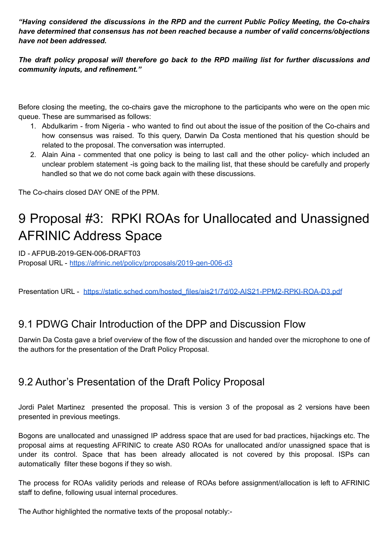*"Having considered the discussions in the RPD and the current Public Policy Meeting, the Co-chairs have determined that consensus has not been reached because a number of valid concerns/objections have not been addressed.*

*The draft policy proposal will therefore go back to the RPD mailing list for further discussions and community inputs, and refinement."*

Before closing the meeting, the co-chairs gave the microphone to the participants who were on the open mic queue. These are summarised as follows:

- 1. Abdulkarim from Nigeria who wanted to find out about the issue of the position of the Co-chairs and how consensus was raised. To this query, Darwin Da Costa mentioned that his question should be related to the proposal. The conversation was interrupted.
- 2. Alain Aina commented that one policy is being to last call and the other policy- which included an unclear problem statement -is going back to the mailing list, that these should be carefully and properly handled so that we do not come back again with these discussions.

The Co-chairs closed DAY ONE of the PPM.

## 9 Proposal #3: RPKI ROAs for Unallocated and Unassigned AFRINIC Address Space

ID - AFPUB-2019-GEN-006-DRAFT03 Proposal URL - <https://afrinic.net/policy/proposals/2019-gen-006-d3>

Presentation URL - [https://static.sched.com/hosted\\_files/ais21/7d/02-AIS21-PPM2-RPKI-ROA-D3.pdf](https://static.sched.com/hosted_files/ais21/7d/02-AIS21-PPM2-RPKI-ROA-D3.pdf)

#### 9.1 PDWG Chair Introduction of the DPP and Discussion Flow

Darwin Da Costa gave a brief overview of the flow of the discussion and handed over the microphone to one of the authors for the presentation of the Draft Policy Proposal.

#### 9.2 Author's Presentation of the Draft Policy Proposal

Jordi Palet Martinez presented the proposal. This is version 3 of the proposal as 2 versions have been presented in previous meetings.

Bogons are unallocated and unassigned IP address space that are used for bad practices, hijackings etc. The proposal aims at requesting AFRINIC to create AS0 ROAs for unallocated and/or unassigned space that is under its control. Space that has been already allocated is not covered by this proposal. ISPs can automatically filter these bogons if they so wish.

The process for ROAs validity periods and release of ROAs before assignment/allocation is left to AFRINIC staff to define, following usual internal procedures.

The Author highlighted the normative texts of the proposal notably:-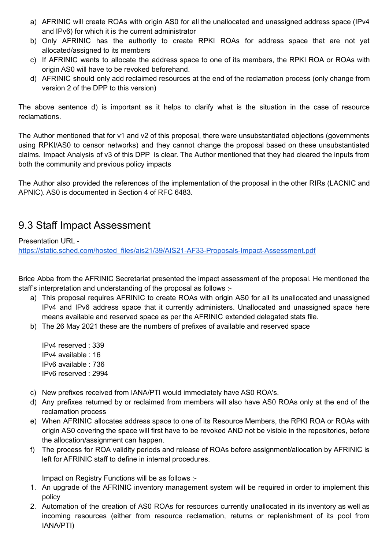- a) AFRINIC will create ROAs with origin AS0 for all the unallocated and unassigned address space (IPv4 and IPv6) for which it is the current administrator
- b) Only AFRINIC has the authority to create RPKI ROAs for address space that are not yet allocated/assigned to its members
- c) If AFRINIC wants to allocate the address space to one of its members, the RPKI ROA or ROAs with origin AS0 will have to be revoked beforehand.
- d) AFRINIC should only add reclaimed resources at the end of the reclamation process (only change from version 2 of the DPP to this version)

The above sentence d) is important as it helps to clarify what is the situation in the case of resource reclamations.

The Author mentioned that for v1 and v2 of this proposal, there were unsubstantiated objections (governments using RPKI/AS0 to censor networks) and they cannot change the proposal based on these unsubstantiated claims. Impact Analysis of v3 of this DPP is clear. The Author mentioned that they had cleared the inputs from both the community and previous policy impacts

The Author also provided the references of the implementation of the proposal in the other RIRs (LACNIC and APNIC). AS0 is documented in Section 4 of RFC 6483.

#### 9.3 Staff Impact Assessment

Presentation URL -

[https://static.sched.com/hosted\\_files/ais21/39/AIS21-AF33-Proposals-Impact-Assessment.pdf](https://static.sched.com/hosted_files/ais21/39/AIS21-AF33-Proposals-Impact-Assessment.pdf)

Brice Abba from the AFRINIC Secretariat presented the impact assessment of the proposal. He mentioned the staff's interpretation and understanding of the proposal as follows :-

- a) This proposal requires AFRINIC to create ROAs with origin AS0 for all its unallocated and unassigned IPv4 and IPv6 address space that it currently administers. Unallocated and unassigned space here means available and reserved space as per the AFRINIC extended delegated stats file.
- b) The 26 May 2021 these are the numbers of prefixes of available and reserved space

IPv4 reserved : 339 IPv4 available : 16 IPv6 available : 736 IPv6 reserved : 2994

- c) New prefixes received from IANA/PTI would immediately have AS0 ROA's.
- d) Any prefixes returned by or reclaimed from members will also have AS0 ROAs only at the end of the reclamation process
- e) When AFRINIC allocates address space to one of its Resource Members, the RPKI ROA or ROAs with origin AS0 covering the space will first have to be revoked AND not be visible in the repositories, before the allocation/assignment can happen.
- f) The process for ROA validity periods and release of ROAs before assignment/allocation by AFRINIC is left for AFRINIC staff to define in internal procedures.

Impact on Registry Functions will be as follows :-

- 1. An upgrade of the AFRINIC inventory management system will be required in order to implement this policy
- 2. Automation of the creation of AS0 ROAs for resources currently unallocated in its inventory as well as incoming resources (either from resource reclamation, returns or replenishment of its pool from IANA/PTI)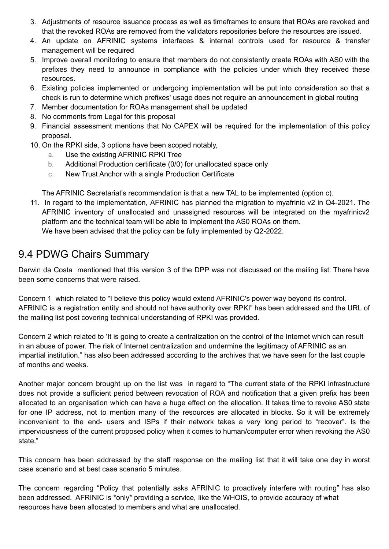- 3. Adjustments of resource issuance process as well as timeframes to ensure that ROAs are revoked and that the revoked ROAs are removed from the validators repositories before the resources are issued.
- 4. An update on AFRINIC systems interfaces & internal controls used for resource & transfer management will be required
- 5. Improve overall monitoring to ensure that members do not consistently create ROAs with AS0 with the prefixes they need to announce in compliance with the policies under which they received these resources.
- 6. Existing policies implemented or undergoing implementation will be put into consideration so that a check is run to determine which prefixes' usage does not require an announcement in global routing
- 7. Member documentation for ROAs management shall be updated
- 8. No comments from Legal for this proposal
- 9. Financial assessment mentions that No CAPEX will be required for the implementation of this policy proposal.
- 10. On the RPKI side, 3 options have been scoped notably,
	- a. Use the existing AFRINIC RPKI Tree
	- b. Additional Production certificate (0/0) for unallocated space only
	- c. New Trust Anchor with a single Production Certificate

The AFRINIC Secretariat's recommendation is that a new TAL to be implemented (option c).

11. In regard to the implementation, AFRINIC has planned the migration to myafrinic v2 in Q4-2021. The AFRINIC inventory of unallocated and unassigned resources will be integrated on the myafrinicv2 platform and the technical team will be able to implement the AS0 ROAs on them. We have been advised that the policy can be fully implemented by Q2-2022.

#### 9.4 PDWG Chairs Summary

Darwin da Costa mentioned that this version 3 of the DPP was not discussed on the mailing list. There have been some concerns that were raised.

Concern 1 which related to "I believe this policy would extend AFRINIC's power way beyond its control. AFRINIC is a registration entity and should not have authority over RPKI" has been addressed and the URL of the mailing list post covering technical understanding of RPKI was provided.

Concern 2 which related to 'It is going to create a centralization on the control of the Internet which can result in an abuse of power. The risk of Internet centralization and undermine the legitimacy of AFRINIC as an impartial institution." has also been addressed according to the archives that we have seen for the last couple of months and weeks.

Another major concern brought up on the list was in regard to "The current state of the RPKI infrastructure does not provide a sufficient period between revocation of ROA and notification that a given prefix has been allocated to an organisation which can have a huge effect on the allocation. It takes time to revoke AS0 state for one IP address, not to mention many of the resources are allocated in blocks. So it will be extremely inconvenient to the end- users and ISPs if their network takes a very long period to "recover". Is the imperviousness of the current proposed policy when it comes to human/computer error when revoking the AS0 state."

This concern has been addressed by the staff response on the mailing list that it will take one day in worst case scenario and at best case scenario 5 minutes.

The concern regarding "Policy that potentially asks AFRINIC to proactively interfere with routing" has also been addressed. AFRINIC is \*only\* providing a service, like the WHOIS, to provide accuracy of what resources have been allocated to members and what are unallocated.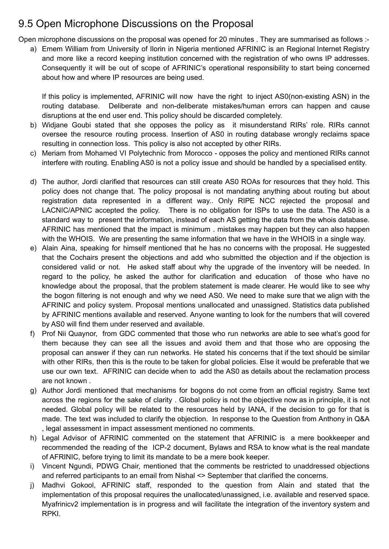#### 9.5 Open Microphone Discussions on the Proposal

Open microphone discussions on the proposal was opened for 20 minutes . They are summarised as follows :-

a) Emem William from University of Ilorin in Nigeria mentioned AFRINIC is an Regional Internet Registry and more like a record keeping institution concerned with the registration of who owns IP addresses. Consequently it will be out of scope of AFRINIC's operational responsibility to start being concerned about how and where IP resources are being used.

If this policy is implemented, AFRINIC will now have the right to inject AS0(non-existing ASN) in the routing database. Deliberate and non-deliberate mistakes/human errors can happen and cause disruptions at the end user end. This policy should be discarded completely.

- b) Widjane Goubi stated that she opposes the policy as it misunderstand RIRs' role. RIRs cannot oversee the resource routing process. Insertion of AS0 in routing database wrongly reclaims space resulting in connection loss. This policy is also not accepted by other RIRs.
- c) Meriam from Mohamed VI Polytechnic from Morocco opposes the policy and mentioned RIRs cannot interfere with routing. Enabling AS0 is not a policy issue and should be handled by a specialised entity.
- d) The author, Jordi clarified that resources can still create AS0 ROAs for resources that they hold. This policy does not change that. The policy proposal is not mandating anything about routing but about registration data represented in a different way.. Only RIPE NCC rejected the proposal and LACNIC/APNIC accepted the policy. There is no obligation for ISPs to use the data. The AS0 is a standard way to present the information, instead of each AS getting the data from the whois database. AFRINIC has mentioned that the impact is minimum . mistakes may happen but they can also happen with the WHOIS. We are presenting the same information that we have in the WHOIS in a single way.
- e) Alain Aina, speaking for himself mentioned that he has no concerns with the proposal. He suggested that the Cochairs present the objections and add who submitted the objection and if the objection is considered valid or not. He asked staff about why the upgrade of the inventory will be needed. In regard to the policy, he asked the author for clarification and education of those who have no knowledge about the proposal, that the problem statement is made clearer. He would like to see why the bogon filtering is not enough and why we need AS0. We need to make sure that we align with the AFRINIC and policy system. Proposal mentions unallocated and unassigned. Statistics data published by AFRINIC mentions available and reserved. Anyone wanting to look for the numbers that will covered by AS0 will find them under reserved and available.
- f) Prof Nii Quaynor, from GDC commented that those who run networks are able to see what's good for them because they can see all the issues and avoid them and that those who are opposing the proposal can answer if they can run networks. He stated his concerns that if the text should be similar with other RIRs, then this is the route to be taken for global policies. Else it would be preferable that we use our own text. AFRINIC can decide when to add the AS0 as details about the reclamation process are not known .
- g) Author Jordi mentioned that mechanisms for bogons do not come from an official registry. Same text across the regions for the sake of clarity . Global policy is not the objective now as in principle, it is not needed. Global policy will be related to the resources held by IANA, if the decision to go for that is made. The text was included to clarify the objection. In response to the Question from Anthony in Q&A , legal assessment in impact assessment mentioned no comments.
- h) Legal Advisor of AFRINIC commented on the statement that AFRINIC is a mere bookkeeper and recommended the reading of the ICP-2 document, Bylaws and RSA to know what is the real mandate of AFRINIC, before trying to limit its mandate to be a mere book keeper.
- i) Vincent Ngundi, PDWG Chair, mentioned that the comments be restricted to unaddressed objections and referred participants to an email from Nishal <> September that clarified the concerns.
- j) Madhvi Gokool, AFRINIC staff, responded to the question from Alain and stated that the implementation of this proposal requires the unallocated/unassigned, i.e. available and reserved space. Myafrinicv2 implementation is in progress and will facilitate the integration of the inventory system and RPKI.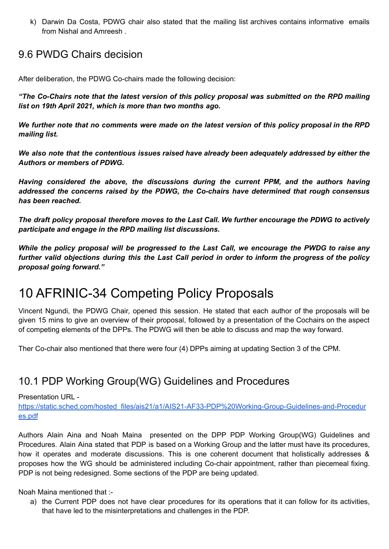k) Darwin Da Costa, PDWG chair also stated that the mailing list archives contains informative emails from Nishal and Amreesh .

#### 9.6 PWDG Chairs decision

After deliberation, the PDWG Co-chairs made the following decision:

*"The Co-Chairs note that the latest version of this policy proposal was submitted on the RPD mailing list on 19th April 2021, which is more than two months ago.*

We further note that no comments were made on the latest version of this policy proposal in the RPD *mailing list.*

*We also note that the contentious issues raised have already been adequately addressed by either the Authors or members of PDWG.*

*Having considered the above, the discussions during the current PPM, and the authors having addressed the concerns raised by the PDWG, the Co-chairs have determined that rough consensus has been reached.*

*The draft policy proposal therefore moves to the Last Call. We further encourage the PDWG to actively participate and engage in the RPD mailing list discussions.*

*While the policy proposal will be progressed to the Last Call, we encourage the PWDG to raise any* further valid objections during this the Last Call period in order to inform the progress of the policy *proposal going forward."*

### 10 AFRINIC-34 Competing Policy Proposals

Vincent Ngundi, the PDWG Chair, opened this session. He stated that each author of the proposals will be given 15 mins to give an overview of their proposal, followed by a presentation of the Cochairs on the aspect of competing elements of the DPPs. The PDWG will then be able to discuss and map the way forward.

Ther Co-chair also mentioned that there were four (4) DPPs aiming at updating Section 3 of the CPM.

#### 10.1 PDP Working Group(WG) Guidelines and Procedures

Presentation URL -

[https://static.sched.com/hosted\\_files/ais21/a1/AIS21-AF33-PDP%20Working-Group-Guidelines-and-Procedur](https://static.sched.com/hosted_files/ais21/a1/AIS21-AF33-PDP%20Working-Group-Guidelines-and-Procedures.pdf) [es.pdf](https://static.sched.com/hosted_files/ais21/a1/AIS21-AF33-PDP%20Working-Group-Guidelines-and-Procedures.pdf)

Authors Alain Aina and Noah Maina presented on the DPP PDP Working Group(WG) Guidelines and Procedures. Alain Aina stated that PDP is based on a Working Group and the latter must have its procedures, how it operates and moderate discussions. This is one coherent document that holistically addresses & proposes how the WG should be administered including Co-chair appointment, rather than piecemeal fixing. PDP is not being redesigned. Some sections of the PDP are being updated.

Noah Maina mentioned that :-

a) the Current PDP does not have clear procedures for its operations that it can follow for its activities, that have led to the misinterpretations and challenges in the PDP.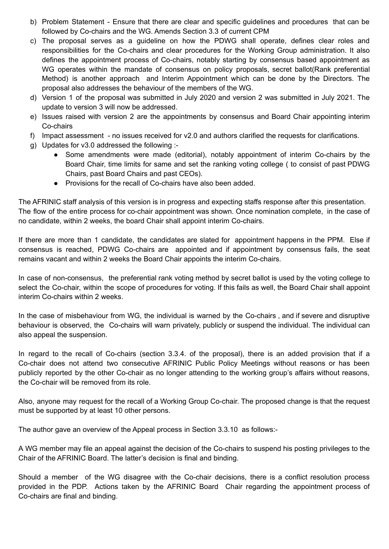- b) Problem Statement Ensure that there are clear and specific guidelines and procedures that can be followed by Co-chairs and the WG. Amends Section 3.3 of current CPM
- c) The proposal serves as a guideline on how the PDWG shall operate, defines clear roles and responsibilities for the Co-chairs and clear procedures for the Working Group administration. It also defines the appointment process of Co-chairs, notably starting by consensus based appointment as WG operates within the mandate of consensus on policy proposals, secret ballot (Rank preferential Method) is another approach and Interim Appointment which can be done by the Directors. The proposal also addresses the behaviour of the members of the WG.
- d) Version 1 of the proposal was submitted in July 2020 and version 2 was submitted in July 2021. The update to version 3 will now be addressed.
- e) Issues raised with version 2 are the appointments by consensus and Board Chair appointing interim Co-chairs
- f) Impact assessment no issues received for v2.0 and authors clarified the requests for clarifications.
- g) Updates for v3.0 addressed the following :-
	- Some amendments were made (editorial), notably appointment of interim Co-chairs by the Board Chair, time limits for same and set the ranking voting college ( to consist of past PDWG Chairs, past Board Chairs and past CEOs).
	- Provisions for the recall of Co-chairs have also been added.

The AFRINIC staff analysis of this version is in progress and expecting staffs response after this presentation. The flow of the entire process for co-chair appointment was shown. Once nomination complete, in the case of no candidate, within 2 weeks, the board Chair shall appoint interim Co-chairs.

If there are more than 1 candidate, the candidates are slated for appointment happens in the PPM. Else if consensus is reached, PDWG Co-chairs are appointed and if appointment by consensus fails, the seat remains vacant and within 2 weeks the Board Chair appoints the interim Co-chairs.

In case of non-consensus, the preferential rank voting method by secret ballot is used by the voting college to select the Co-chair, within the scope of procedures for voting. If this fails as well, the Board Chair shall appoint interim Co-chairs within 2 weeks.

In the case of misbehaviour from WG, the individual is warned by the Co-chairs , and if severe and disruptive behaviour is observed, the Co-chairs will warn privately, publicly or suspend the individual. The individual can also appeal the suspension.

In regard to the recall of Co-chairs (section 3.3.4. of the proposal), there is an added provision that if a Co-chair does not attend two consecutive AFRINIC Public Policy Meetings without reasons or has been publicly reported by the other Co-chair as no longer attending to the working group's affairs without reasons, the Co-chair will be removed from its role.

Also, anyone may request for the recall of a Working Group Co-chair. The proposed change is that the request must be supported by at least 10 other persons.

The author gave an overview of the Appeal process in Section 3.3.10 as follows:-

A WG member may file an appeal against the decision of the Co-chairs to suspend his posting privileges to the Chair of the AFRINIC Board. The latter's decision is final and binding.

Should a member of the WG disagree with the Co-chair decisions, there is a conflict resolution process provided in the PDP. Actions taken by the AFRINIC Board Chair regarding the appointment process of Co-chairs are final and binding.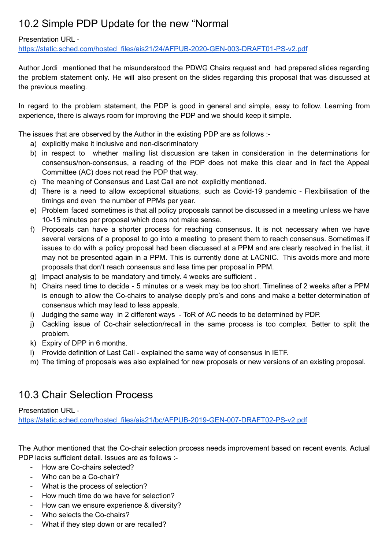### 10.2 Simple PDP Update for the new "Normal

#### Presentation URL -

[https://static.sched.com/hosted\\_files/ais21/24/AFPUB-2020-GEN-003-DRAFT01-PS-v2.pdf](https://static.sched.com/hosted_files/ais21/24/AFPUB-2020-GEN-003-DRAFT01-PS-v2.pdf)

Author Jordi mentioned that he misunderstood the PDWG Chairs request and had prepared slides regarding the problem statement only. He will also present on the slides regarding this proposal that was discussed at the previous meeting.

In regard to the problem statement, the PDP is good in general and simple, easy to follow. Learning from experience, there is always room for improving the PDP and we should keep it simple.

The issues that are observed by the Author in the existing PDP are as follows :-

- a) explicitly make it inclusive and non-discriminatory
- b) in respect to whether mailing list discussion are taken in consideration in the determinations for consensus/non-consensus, a reading of the PDP does not make this clear and in fact the Appeal Committee (AC) does not read the PDP that way.
- c) The meaning of Consensus and Last Call are not explicitly mentioned.
- d) There is a need to allow exceptional situations, such as Covid-19 pandemic Flexibilisation of the timings and even the number of PPMs per year.
- e) Problem faced sometimes is that all policy proposals cannot be discussed in a meeting unless we have 10-15 minutes per proposal which does not make sense.
- f) Proposals can have a shorter process for reaching consensus. It is not necessary when we have several versions of a proposal to go into a meeting to present them to reach consensus. Sometimes if issues to do with a policy proposal had been discussed at a PPM and are clearly resolved in the list, it may not be presented again in a PPM. This is currently done at LACNIC. This avoids more and more proposals that don't reach consensus and less time per proposal in PPM.
- g) Impact analysis to be mandatory and timely. 4 weeks are sufficient .
- h) Chairs need time to decide 5 minutes or a week may be too short. Timelines of 2 weeks after a PPM is enough to allow the Co-chairs to analyse deeply pro's and cons and make a better determination of consensus which may lead to less appeals.
- i) Judging the same way in 2 different ways ToR of AC needs to be determined by PDP.
- j) Cackling issue of Co-chair selection/recall in the same process is too complex. Better to split the problem.
- k) Expiry of DPP in 6 months.
- l) Provide definition of Last Call explained the same way of consensus in IETF.
- m) The timing of proposals was also explained for new proposals or new versions of an existing proposal.

### 10.3 Chair Selection Process

#### Presentation URL -

[https://static.sched.com/hosted\\_files/ais21/bc/AFPUB-2019-GEN-007-DRAFT02-PS-v2.pdf](https://static.sched.com/hosted_files/ais21/bc/AFPUB-2019-GEN-007-DRAFT02-PS-v2.pdf)

The Author mentioned that the Co-chair selection process needs improvement based on recent events. Actual PDP lacks sufficient detail. Issues are as follows :-

- How are Co-chairs selected?
- Who can be a Co-chair?
- What is the process of selection?
- How much time do we have for selection?
- How can we ensure experience & diversity?
- Who selects the Co-chairs?
- What if they step down or are recalled?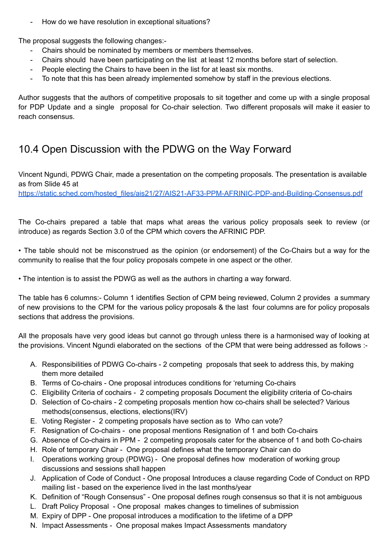- How do we have resolution in exceptional situations?

The proposal suggests the following changes:-

- Chairs should be nominated by members or members themselves.
- Chairs should have been participating on the list at least 12 months before start of selection.
- People electing the Chairs to have been in the list for at least six months.
- To note that this has been already implemented somehow by staff in the previous elections.

Author suggests that the authors of competitive proposals to sit together and come up with a single proposal for PDP Update and a single proposal for Co-chair selection. Two different proposals will make it easier to reach consensus.

#### 10.4 Open Discussion with the PDWG on the Way Forward

Vincent Ngundi, PDWG Chair, made a presentation on the competing proposals. The presentation is available as from Slide 45 at

[https://static.sched.com/hosted\\_files/ais21/27/AIS21-AF33-PPM-AFRINIC-PDP-and-Building-Consensus.pdf](https://static.sched.com/hosted_files/ais21/27/AIS21-AF33-PPM-AFRINIC-PDP-and-Building-Consensus.pdf)

The Co-chairs prepared a table that maps what areas the various policy proposals seek to review (or introduce) as regards Section 3.0 of the CPM which covers the AFRINIC PDP.

• The table should not be misconstrued as the opinion (or endorsement) of the Co-Chairs but a way for the community to realise that the four policy proposals compete in one aspect or the other.

• The intention is to assist the PDWG as well as the authors in charting a way forward.

The table has 6 columns:- Column 1 identifies Section of CPM being reviewed, Column 2 provides a summary of new provisions to the CPM for the various policy proposals & the last four columns are for policy proposals sections that address the provisions.

All the proposals have very good ideas but cannot go through unless there is a harmonised way of looking at the provisions. Vincent Ngundi elaborated on the sections of the CPM that were being addressed as follows :-

- A. Responsibilities of PDWG Co-chairs 2 competing proposals that seek to address this, by making them more detailed
- B. Terms of Co-chairs One proposal introduces conditions for 'returning Co-chairs
- C. Eligibility Criteria of cochairs 2 competing proposals Document the eligibility criteria of Co-chairs
- D. Selection of Co-chairs 2 competing proposals mention how co-chairs shall be selected? Various methods(consensus, elections, elections(IRV)
- E. Voting Register 2 competing proposals have section as to Who can vote?
- F. Resignation of Co-chairs one proposal mentions Resignation of 1 and both Co-chairs
- G. Absence of Co-chairs in PPM 2 competing proposals cater for the absence of 1 and both Co-chairs
- H. Role of temporary Chair One proposal defines what the temporary Chair can do
- I. Operations working group (PDWG) One proposal defines how moderation of working group discussions and sessions shall happen
- J. Application of Code of Conduct One proposal Introduces a clause regarding Code of Conduct on RPD mailing list - based on the experience lived in the last months/year
- K. Definition of "Rough Consensus" One proposal defines rough consensus so that it is not ambiguous
- L. Draft Policy Proposal One proposal makes changes to timelines of submission
- M. Expiry of DPP One proposal introduces a modification to the lifetime of a DPP
- N. Impact Assessments One proposal makes Impact Assessments mandatory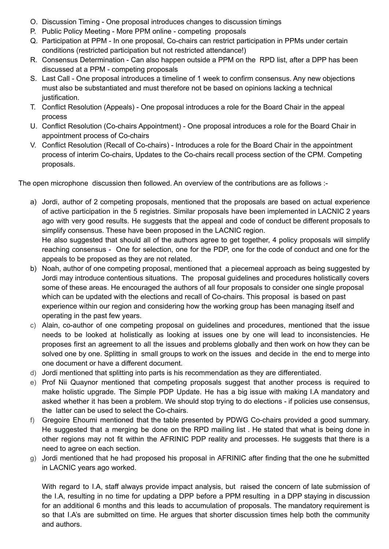- O. Discussion Timing One proposal introduces changes to discussion timings
- P. Public Policy Meeting More PPM online competing proposals
- Q. Participation at PPM In one proposal, Co-chairs can restrict participation in PPMs under certain conditions (restricted participation but not restricted attendance!)
- R. Consensus Determination Can also happen outside a PPM on the RPD list, after a DPP has been discussed at a PPM - competing proposals
- S. Last Call One proposal introduces a timeline of 1 week to confirm consensus. Any new objections must also be substantiated and must therefore not be based on opinions lacking a technical justification.
- T. Conflict Resolution (Appeals) One proposal introduces a role for the Board Chair in the appeal process
- U. Conflict Resolution (Co-chairs Appointment) One proposal introduces a role for the Board Chair in appointment process of Co-chairs
- V. Conflict Resolution (Recall of Co-chairs) Introduces a role for the Board Chair in the appointment process of interim Co-chairs, Updates to the Co-chairs recall process section of the CPM. Competing proposals.

The open microphone discussion then followed. An overview of the contributions are as follows :-

- a) Jordi, author of 2 competing proposals, mentioned that the proposals are based on actual experience of active participation in the 5 registries. Similar proposals have been implemented in LACNIC 2 years ago with very good results. He suggests that the appeal and code of conduct be different proposals to simplify consensus. These have been proposed in the LACNIC region. He also suggested that should all of the authors agree to get together, 4 policy proposals will simplify reaching consensus - One for selection, one for the PDP, one for the code of conduct and one for the appeals to be proposed as they are not related.
- b) Noah, author of one competing proposal, mentioned that a piecemeal approach as being suggested by Jordi may introduce contentious situations. The proposal guidelines and procedures holistically covers some of these areas. He encouraged the authors of all four proposals to consider one single proposal which can be updated with the elections and recall of Co-chairs. This proposal is based on past experience within our region and considering how the working group has been managing itself and operating in the past few years.
- c) Alain, co-author of one competing proposal on guidelines and procedures, mentioned that the issue needs to be looked at holistically as looking at issues one by one will lead to inconsistencies. He proposes first an agreement to all the issues and problems globally and then work on how they can be solved one by one. Splitting in small groups to work on the issues and decide in the end to merge into one document or have a different document.
- d) Jordi mentioned that splitting into parts is his recommendation as they are differentiated.
- e) Prof Nii Quaynor mentioned that competing proposals suggest that another process is required to make holistic upgrade. The Simple PDP Update. He has a big issue with making I.A mandatory and asked whether it has been a problem. We should stop trying to do elections - if policies use consensus, the latter can be used to select the Co-chairs.
- f) Gregoire Ehoumi mentioned that the table presented by PDWG Co-chairs provided a good summary. He suggested that a merging be done on the RPD mailing list . He stated that what is being done in other regions may not fit within the AFRINIC PDP reality and processes. He suggests that there is a need to agree on each section.
- g) Jordi mentioned that he had proposed his proposal in AFRINIC after finding that the one he submitted in LACNIC years ago worked.

With regard to I.A, staff always provide impact analysis, but raised the concern of late submission of the I.A, resulting in no time for updating a DPP before a PPM resulting in a DPP staying in discussion for an additional 6 months and this leads to accumulation of proposals. The mandatory requirement is so that I.A's are submitted on time. He argues that shorter discussion times help both the community and authors.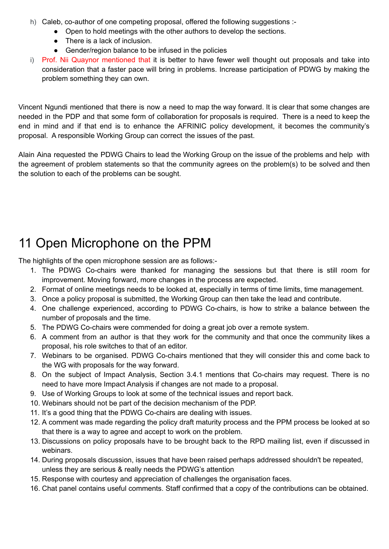- h) Caleb, co-author of one competing proposal, offered the following suggestions :-
	- Open to hold meetings with the other authors to develop the sections.
		- There is a lack of inclusion.
	- Gender/region balance to be infused in the policies
- i) Prof. Nii Quaynor mentioned that it is better to have fewer well thought out proposals and take into consideration that a faster pace will bring in problems. Increase participation of PDWG by making the problem something they can own.

Vincent Ngundi mentioned that there is now a need to map the way forward. It is clear that some changes are needed in the PDP and that some form of collaboration for proposals is required. There is a need to keep the end in mind and if that end is to enhance the AFRINIC policy development, it becomes the community's proposal. A responsible Working Group can correct the issues of the past.

Alain Aina requested the PDWG Chairs to lead the Working Group on the issue of the problems and help with the agreement of problem statements so that the community agrees on the problem(s) to be solved and then the solution to each of the problems can be sought.

## 11 Open Microphone on the PPM

The highlights of the open microphone session are as follows:-

- 1. The PDWG Co-chairs were thanked for managing the sessions but that there is still room for improvement. Moving forward, more changes in the process are expected.
- 2. Format of online meetings needs to be looked at, especially in terms of time limits, time management.
- 3. Once a policy proposal is submitted, the Working Group can then take the lead and contribute.
- 4. One challenge experienced, according to PDWG Co-chairs, is how to strike a balance between the number of proposals and the time.
- 5. The PDWG Co-chairs were commended for doing a great job over a remote system.
- 6. A comment from an author is that they work for the community and that once the community likes a proposal, his role switches to that of an editor.
- 7. Webinars to be organised. PDWG Co-chairs mentioned that they will consider this and come back to the WG with proposals for the way forward.
- 8. On the subject of Impact Analysis, Section 3.4.1 mentions that Co-chairs may request. There is no need to have more Impact Analysis if changes are not made to a proposal.
- 9. Use of Working Groups to look at some of the technical issues and report back.
- 10. Webinars should not be part of the decision mechanism of the PDP.
- 11. It's a good thing that the PDWG Co-chairs are dealing with issues.
- 12. A comment was made regarding the policy draft maturity process and the PPM process be looked at so that there is a way to agree and accept to work on the problem.
- 13. Discussions on policy proposals have to be brought back to the RPD mailing list, even if discussed in webinars.
- 14. During proposals discussion, issues that have been raised perhaps addressed shouldn't be repeated, unless they are serious & really needs the PDWG's attention
- 15. Response with courtesy and appreciation of challenges the organisation faces.
- 16. Chat panel contains useful comments. Staff confirmed that a copy of the contributions can be obtained.